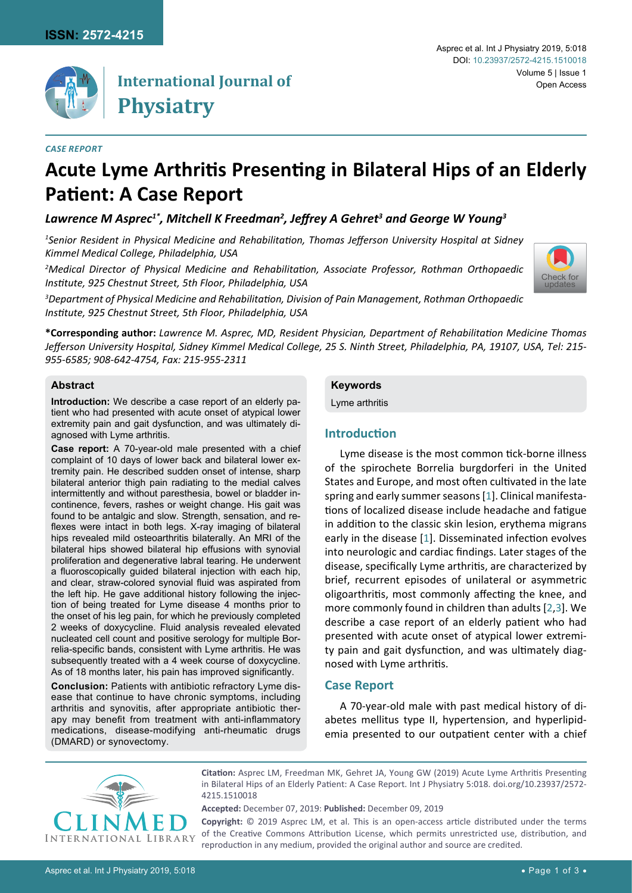

## **International Journal of Physiatry**

#### *Case report*

#### Asprec et al. Int J Physiatry 2019, 5:018 Volume 5 | Issue 1 Open Access DOI: [10.23937/2572-4215.1510018](https://doi.org/10.23937/2572-4215.1510018)

# **Acute Lyme Arthritis Presenting in Bilateral Hips of an Elderly Patient: A Case Report**

### *Lawrence M Asprec1\*, Mitchell K Freedman2 , Jeffrey A Gehret<sup>3</sup> and George W Young<sup>3</sup>*

*1 Senior Resident in Physical Medicine and Rehabilitation, Thomas Jefferson University Hospital at Sidney Kimmel Medical College, Philadelphia, USA*

*2 Medical Director of Physical Medicine and Rehabilitation, Associate Professor, Rothman Orthopaedic Institute, 925 Chestnut Street, 5th Floor, Philadelphia, USA*



*3 Department of Physical Medicine and Rehabilitation, Division of Pain Management, Rothman Orthopaedic Institute, 925 Chestnut Street, 5th Floor, Philadelphia, USA*

**\*Corresponding author:** *Lawrence M. Asprec, MD, Resident Physician, Department of Rehabilitation Medicine Thomas Jefferson University Hospital, Sidney Kimmel Medical College, 25 S. Ninth Street, Philadelphia, PA, 19107, USA, Tel: 215- 955-6585; 908-642-4754, Fax: 215-955-2311*

#### **Abstract**

**Introduction:** We describe a case report of an elderly patient who had presented with acute onset of atypical lower extremity pain and gait dysfunction, and was ultimately diagnosed with Lyme arthritis.

**Case report:** A 70-year-old male presented with a chief complaint of 10 days of lower back and bilateral lower extremity pain. He described sudden onset of intense, sharp bilateral anterior thigh pain radiating to the medial calves intermittently and without paresthesia, bowel or bladder incontinence, fevers, rashes or weight change. His gait was found to be antalgic and slow. Strength, sensation, and reflexes were intact in both legs. X-ray imaging of bilateral hips revealed mild osteoarthritis bilaterally. An MRI of the bilateral hips showed bilateral hip effusions with synovial proliferation and degenerative labral tearing. He underwent a fluoroscopically guided bilateral injection with each hip, and clear, straw-colored synovial fluid was aspirated from the left hip. He gave additional history following the injection of being treated for Lyme disease 4 months prior to the onset of his leg pain, for which he previously completed 2 weeks of doxycycline. Fluid analysis revealed elevated nucleated cell count and positive serology for multiple Borrelia-specific bands, consistent with Lyme arthritis. He was subsequently treated with a 4 week course of doxycycline. As of 18 months later, his pain has improved significantly.

**Conclusion:** Patients with antibiotic refractory Lyme disease that continue to have chronic symptoms, including arthritis and synovitis, after appropriate antibiotic therapy may benefit from treatment with anti-inflammatory medications, disease-modifying anti-rheumatic drugs (DMARD) or synovectomy.

#### **Keywords**

Lyme arthritis

#### **Introduction**

Lyme disease is the most common tick-borne illness of the spirochete Borrelia burgdorferi in the United States and Europe, and most often cultivated in the late spring and early summer seasons [[1](#page-2-0)]. Clinical manifestations of localized disease include headache and fatigue in addition to the classic skin lesion, erythema migrans early in the disease [\[1](#page-2-0)]. Disseminated infection evolves into neurologic and cardiac findings. Later stages of the disease, specifically Lyme arthritis, are characterized by brief, recurrent episodes of unilateral or asymmetric oligoarthritis, most commonly affecting the knee, and more commonly found in children than adults [\[2,](#page-2-1)[3](#page-2-2)]. We describe a case report of an elderly patient who had presented with acute onset of atypical lower extremity pain and gait dysfunction, and was ultimately diagnosed with Lyme arthritis.

#### **Case Report**

A 70-year-old male with past medical history of diabetes mellitus type II, hypertension, and hyperlipidemia presented to our outpatient center with a chief



**Citation:** Asprec LM, Freedman MK, Gehret JA, Young GW (2019) Acute Lyme Arthritis Presenting in Bilateral Hips of an Elderly Patient: A Case Report. Int J Physiatry 5:018. [doi.org/10.23937/2572-](https://doi.org/10.23937/2572-4215.1510018) [4215.1510018](https://doi.org/10.23937/2572-4215.1510018)

**Accepted:** December 07, 2019: **Published:** December 09, 2019

**Copyright:** © 2019 Asprec LM, et al. This is an open-access article distributed under the terms of the Creative Commons Attribution License, which permits unrestricted use, distribution, and reproduction in any medium, provided the original author and source are credited.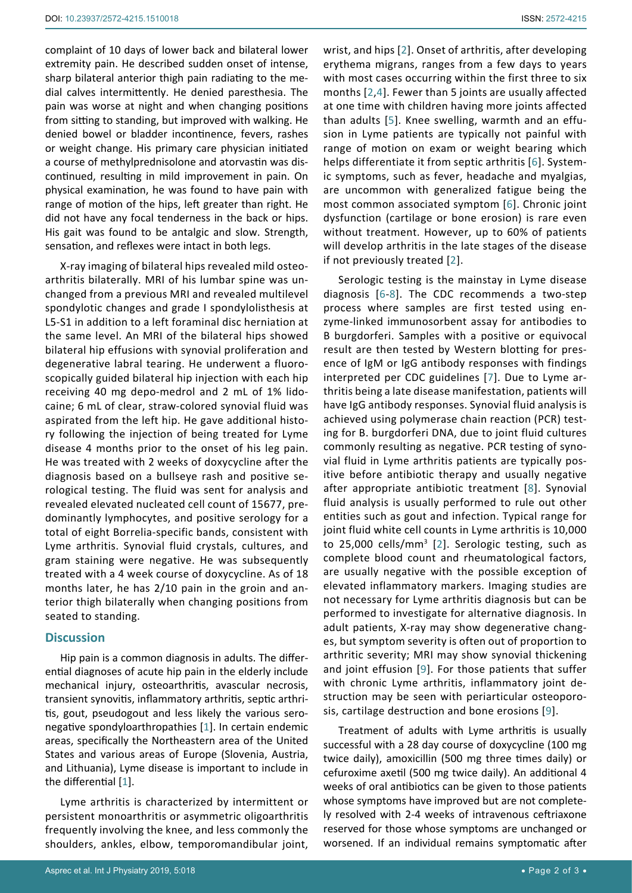complaint of 10 days of lower back and bilateral lower extremity pain. He described sudden onset of intense, sharp bilateral anterior thigh pain radiating to the medial calves intermittently. He denied paresthesia. The pain was worse at night and when changing positions from sitting to standing, but improved with walking. He denied bowel or bladder incontinence, fevers, rashes or weight change. His primary care physician initiated a course of methylprednisolone and atorvastin was discontinued, resulting in mild improvement in pain. On physical examination, he was found to have pain with range of motion of the hips, left greater than right. He did not have any focal tenderness in the back or hips. His gait was found to be antalgic and slow. Strength, sensation, and reflexes were intact in both legs.

X-ray imaging of bilateral hips revealed mild osteoarthritis bilaterally. MRI of his lumbar spine was unchanged from a previous MRI and revealed multilevel spondylotic changes and grade I spondylolisthesis at L5-S1 in addition to a left foraminal disc herniation at the same level. An MRI of the bilateral hips showed bilateral hip effusions with synovial proliferation and degenerative labral tearing. He underwent a fluoroscopically guided bilateral hip injection with each hip receiving 40 mg depo-medrol and 2 mL of 1% lidocaine; 6 mL of clear, straw-colored synovial fluid was aspirated from the left hip. He gave additional history following the injection of being treated for Lyme disease 4 months prior to the onset of his leg pain. He was treated with 2 weeks of doxycycline after the diagnosis based on a bullseye rash and positive serological testing. The fluid was sent for analysis and revealed elevated nucleated cell count of 15677, predominantly lymphocytes, and positive serology for a total of eight Borrelia-specific bands, consistent with Lyme arthritis. Synovial fluid crystals, cultures, and gram staining were negative. He was subsequently treated with a 4 week course of doxycycline. As of 18 months later, he has 2/10 pain in the groin and anterior thigh bilaterally when changing positions from seated to standing.

#### **Discussion**

Hip pain is a common diagnosis in adults. The differential diagnoses of acute hip pain in the elderly include mechanical injury, osteoarthritis, avascular necrosis, transient synovitis, inflammatory arthritis, septic arthritis, gout, pseudogout and less likely the various seronegative spondyloarthropathies [[1](#page-2-0)]. In certain endemic areas, specifically the Northeastern area of the United States and various areas of Europe (Slovenia, Austria, and Lithuania), Lyme disease is important to include in the differential [[1](#page-2-0)].

Lyme arthritis is characterized by intermittent or persistent monoarthritis or asymmetric oligoarthritis frequently involving the knee, and less commonly the shoulders, ankles, elbow, temporomandibular joint, wrist, and hips [[2](#page-2-1)]. Onset of arthritis, after developing erythema migrans, ranges from a few days to years with most cases occurring within the first three to six months [[2,](#page-2-1)[4](#page-2-3)]. Fewer than 5 joints are usually affected at one time with children having more joints affected than adults [[5\]](#page-2-4). Knee swelling, warmth and an effusion in Lyme patients are typically not painful with range of motion on exam or weight bearing which helps differentiate it from septic arthritis [[6](#page-2-5)]. Systemic symptoms, such as fever, headache and myalgias, are uncommon with generalized fatigue being the most common associated symptom [\[6](#page-2-5)]. Chronic joint dysfunction (cartilage or bone erosion) is rare even without treatment. However, up to 60% of patients will develop arthritis in the late stages of the disease if not previously treated [[2](#page-2-1)].

Serologic testing is the mainstay in Lyme disease diagnosis [[6](#page-2-5)-[8\]](#page-2-6). The CDC recommends a two-step process where samples are first tested using enzyme-linked immunosorbent assay for antibodies to B burgdorferi. Samples with a positive or equivocal result are then tested by Western blotting for presence of IgM or IgG antibody responses with findings interpreted per CDC guidelines [\[7](#page-2-7)]. Due to Lyme arthritis being a late disease manifestation, patients will have IgG antibody responses. Synovial fluid analysis is achieved using polymerase chain reaction (PCR) testing for B. burgdorferi DNA, due to joint fluid cultures commonly resulting as negative. PCR testing of synovial fluid in Lyme arthritis patients are typically positive before antibiotic therapy and usually negative after appropriate antibiotic treatment [[8](#page-2-6)]. Synovial fluid analysis is usually performed to rule out other entities such as gout and infection. Typical range for joint fluid white cell counts in Lyme arthritis is 10,000 to 25,000 cells/mm<sup>3</sup> [\[2](#page-2-1)]. Serologic testing, such as complete blood count and rheumatological factors, are usually negative with the possible exception of elevated inflammatory markers. Imaging studies are not necessary for Lyme arthritis diagnosis but can be performed to investigate for alternative diagnosis. In adult patients, X-ray may show degenerative changes, but symptom severity is often out of proportion to arthritic severity; MRI may show synovial thickening and joint effusion [[9](#page-2-8)]. For those patients that suffer with chronic Lyme arthritis, inflammatory joint destruction may be seen with periarticular osteoporosis, cartilage destruction and bone erosions [[9](#page-2-8)].

Treatment of adults with Lyme arthritis is usually successful with a 28 day course of doxycycline (100 mg twice daily), amoxicillin (500 mg three times daily) or cefuroxime axetil (500 mg twice daily). An additional 4 weeks of oral antibiotics can be given to those patients whose symptoms have improved but are not completely resolved with 2-4 weeks of intravenous ceftriaxone reserved for those whose symptoms are unchanged or worsened. If an individual remains symptomatic after